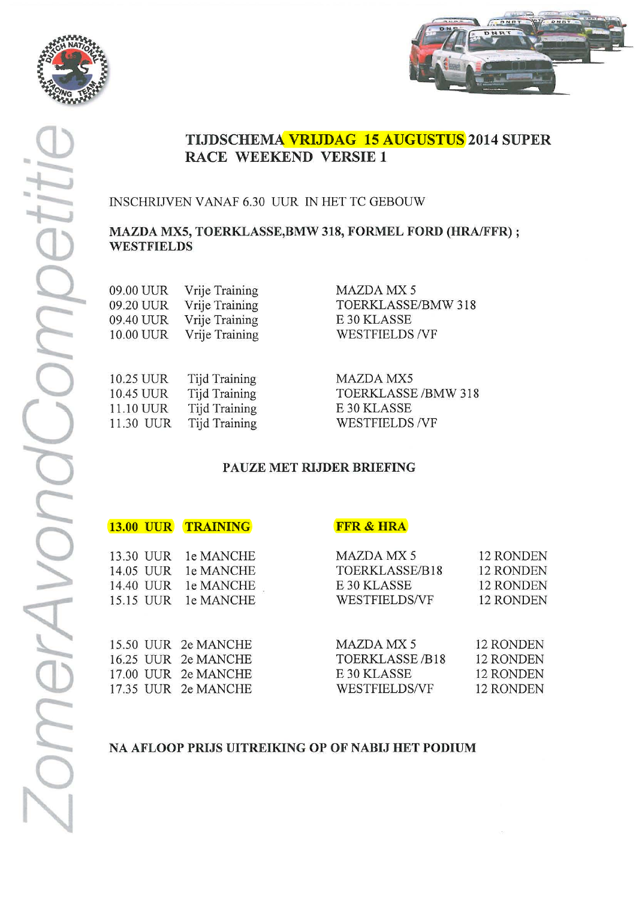



INSCHRIJVEN VANAF 6.30 UUR IN HET TC GEBOUW

#### MAZDA MX5, TOERKLASSE, BMW 318, FORMEL FORD (HRA/FFR) ; **WESTFIELDS**

| 09.00 UUR | Vrije Training |
|-----------|----------------|
| 09.20 UUR | Vrije Training |
| 09.40 UUR | Vrije Training |
| 10.00 UUR | Vrije Training |

10.25 UUR Tijd Training 10.45 UUR Tijd Training Tijd Training 11.10 UUR **Tijd Training** 11.30 UUR

**MAZDA MX 5** TOERKLASSE/BMW 318 E 30 KLASSE **WESTFIELDS/VF** 

**MAZDA MX5** TOERKLASSE /BMW 318 E 30 KLASSE **WESTFIELDS/VF** 

# PAUZE MET RIJDER BRIEFING

| <b>UUR</b><br><b>13.00</b> | <b>TRAINING</b>     | <b>FFR &amp; HRA</b>  |                  |
|----------------------------|---------------------|-----------------------|------------------|
| 13.30 UUR                  | le MANCHE           | MAZDA MX 5            | 12 RONDEN        |
| 14.05 UUR                  | le MANCHE           | TOERKLASSE/B18        | <b>12 RONDEN</b> |
| 14.40 UUR                  | le MANCHE           | E 30 KLASSE           | <b>12 RONDEN</b> |
| 15.15 UUR                  | le MANCHE           | <b>WESTFIELDS/VF</b>  | <b>12 RONDEN</b> |
|                            | 15.50 UUR 2e MANCHE | <b>MAZDA MX 5</b>     | 12 RONDEN        |
|                            | 16.25 UUR 2e MANCHE | <b>TOERKLASSE/B18</b> | 12 RONDEN        |
|                            | 17.00 UUR 2e MANCHE | E 30 KLASSE           | 12 RONDEN        |
|                            | 17.35 UUR 2e MANCHE | WESTFIELDS/VF         | 12 RONDEN        |

#### NA AFLOOP PRIJS UITREIKING OP OF NABIJ HET PODIUM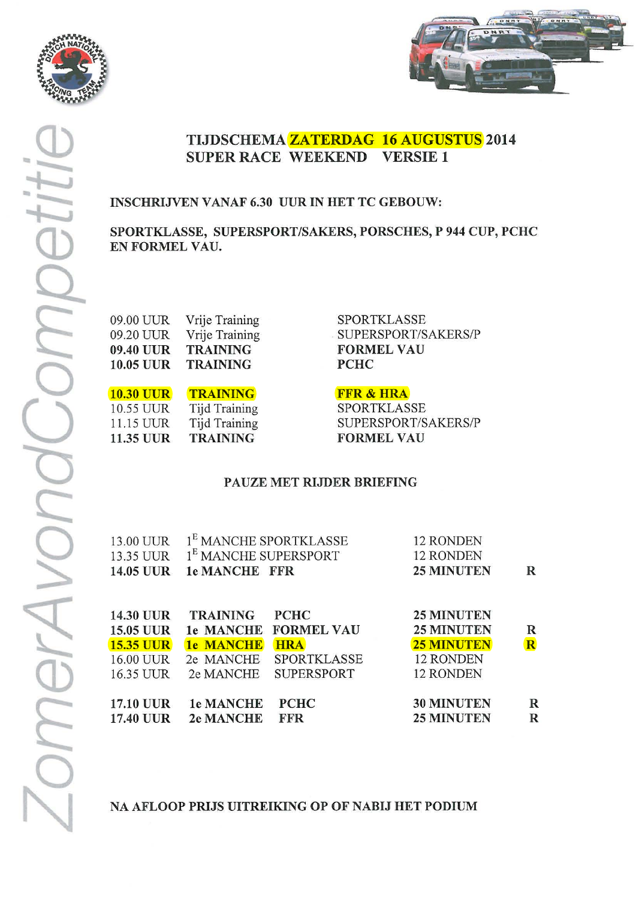



# TIJDSCHEMA ZATERDAG 16 AUGUSTUS 2014 **SUPER RACE WEEKEND VERSIE 1**

# **INSCHRIJVEN VANAF 6.30 UUR IN HET TC GEBOUW:**

SPORTKLASSE, SUPERSPORT/SAKERS, PORSCHES, P 944 CUP, PCHC EN FORMEL VAU.

| Vrije Training  |
|-----------------|
| Vrije Training  |
| <b>TRAINING</b> |
| <b>TRAINING</b> |
|                 |

**10.30 UUR TRAINING** Tijd Training 10.55 UUR **Tijd Training** 11.15 UUR **11.35 UUR TRAINING** 

**SPORTKLASSE** SUPERSPORT/SAKERS/P **FORMEL VAU PCHC** 

### **FFR & HRA**

**SPORTKLASSE** SUPERSPORT/SAKERS/P **FORMEL VAU** 

# PAUZE MET RIJDER BRIEFING

|             | 13.00 UUR 1 <sup>E</sup> MANCHE SPORTKLASSE | 12 RONDEN                  |   |
|-------------|---------------------------------------------|----------------------------|---|
|             | 13.35 UUR 1 <sup>E</sup> MANCHE SUPERSPORT  | 12 RONDEN                  |   |
|             | 14.05 UUR 1e MANCHE FFR                     | <b>25 MINUTEN</b>          | R |
|             |                                             |                            |   |
|             |                                             |                            |   |
| $1420$ TILD | <b>TDAINING</b><br>DTITC                    | <b><i>OF MINITTENT</i></b> |   |

| 14.50 UUR        | TRAINING PCHC    |                       | <b><i>25 MINUTEN</i></b> |                         |
|------------------|------------------|-----------------------|--------------------------|-------------------------|
| <b>15.05 UUR</b> |                  | 1e MANCHE FORMEL VAU  | <b>25 MINUTEN</b>        | $\mathbb R$             |
| <b>15.35 UUR</b> | <b>1e MANCHE</b> | <b>HRA</b>            | <b>25 MINUTEN</b>        | $\mathbf R$             |
| 16.00 UUR        |                  | 2e MANCHE SPORTKLASSE | 12 RONDEN                |                         |
| 16.35 UUR        |                  | 2e MANCHE SUPERSPORT  | 12 RONDEN                |                         |
|                  |                  |                       |                          |                         |
| <b>17.10 UUR</b> | <b>1e MANCHE</b> | <b>PCHC</b>           | <b>30 MINUTEN</b>        | R                       |
| <b>17.40 UUR</b> | <b>2e MANCHE</b> | <b>FFR</b>            | <b>25 MINUTEN</b>        | $\overline{\mathbf{R}}$ |
|                  |                  |                       |                          |                         |

NA AFLOOP PRIJS UITREIKING OP OF NABIJ HET PODIUM